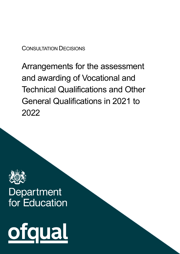# CONSULTATION DECISIONS

Arrangements for the assessment and awarding of Vocational and Technical Qualifications and Other General Qualifications in 2021 to 2022



# Department for Education

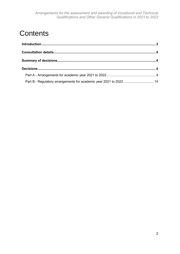# **Contents**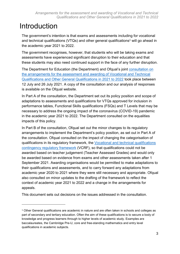# <span id="page-2-0"></span>Introduction

 $\overline{a}$ 

The government's intention is that exams and assessments including for vocational and technical qualifications (VTQs) and other general qualifications<sup>1</sup> will go ahead in the academic year 2021 to 2022.

The government recognises, however, that students who will be taking exams and assessments have experienced significant disruption to their education and that these students may also need continued support in the face of any further disruption.

The Department for Education (the Department) and Ofqual's joint [consultation on](https://www.gov.uk/government/consultations/arrangements-for-the-assessment-and-awarding-of-vocational-technical-and-other-general-qualifications-2021-to-2022)  [the arrangements for the assessment and awarding of Vocational and Technical](https://www.gov.uk/government/consultations/arrangements-for-the-assessment-and-awarding-of-vocational-technical-and-other-general-qualifications-2021-to-2022)  [Qualifications and Other General Qualifications in 2021 to 2022](https://www.gov.uk/government/consultations/arrangements-for-the-assessment-and-awarding-of-vocational-technical-and-other-general-qualifications-2021-to-2022) took place between 12 July and 26 July 2021. A copy of the consultation and our analysis of responses is available on the Ofqual website.

In Part A of the consultation, the Department set out its policy position and scope of adaptations to assessments and qualifications for VTQs approved for inclusion in performance tables, Functional Skills qualifications (FSQs) and T Levels that may be necessary to address the ongoing impact of the coronavirus (COVID-19) pandemic in the academic year 2021 to 2022. The Department consulted on the equalities impacts of this policy.

In Part B of the consultation, Ofqual set out the minor changes to its regulatory arrangements to implement the Department's policy position, as set out in Part A of the consultation. Ofqual consulted on the impact of changing the categorisation of qualifications in its regulatory framework, the [Vocational and technical qualifications](https://www.gov.uk/government/publications/vocational-and-technical-qualifications-contingency-regulatory-framework)  [contingency regulatory framework](https://www.gov.uk/government/publications/vocational-and-technical-qualifications-contingency-regulatory-framework) (VCRF), so that qualifications could not be awarded based on teacher judgement (Teacher Assessed Grades) and would only be awarded based on evidence from exams and other assessments taken after 1 September 2021. Awarding organisations would be permitted to make adaptations to their qualifications and assessments, and to carry forward any adaptations from academic year 2020 to 2021 where they were still necessary and appropriate. Ofqual also consulted on minor updates to the drafting of the framework to reflect the context of academic year 2021 to 2022 and a change in the arrangements for appeals.

This document sets out decisions on the issues addressed in the consultation.

<sup>1</sup> Other General qualifications are academic in nature and are often taken in schools and colleges as part of secondary and tertiary education. Often the aim of these qualifications is to secure a body of knowledge and progress learners through to higher levels of academic study. Examples are baccalaureates, the Cambridge Pre-U, core and free-standing mathematics and entry level qualifications in academic subjects.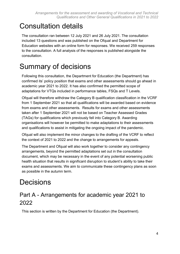# <span id="page-3-0"></span>Consultation details

The consultation ran between 12 July 2021 and 26 July 2021. The consultation included 13 questions and was published on the Ofqual and Department for Education websites with an online form for responses. We received 259 responses to the consultation. A full analysis of the responses is published alongside the consultation.

# <span id="page-3-1"></span>Summary of decisions

Following this consultation, the Department for Education (the Department) has confirmed its' policy position that exams and other assessments should go ahead in academic year 2021 to 2022. It has also confirmed the permitted scope of adaptations for VTQs included in performance tables, FSQs and T Levels.

Ofqual will therefore withdraw the Category B qualification classification in the VCRF from 1 September 2021 so that all qualifications will be awarded based on evidence from exams and other assessments. Results for exams and other assessments taken after 1 September 2021 will not be based on Teacher Assessed Grades (TAGs) for qualifications which previously fell into Category B. Awarding organisations will however be permitted to make adaptations to their assessments and qualifications to assist in mitigating the ongoing impact of the pandemic.

Ofqual will also implement the minor changes to the drafting of the VCRF to reflect the context of 2021 to 2022 and the change to arrangements for appeals.

The Department and Ofqual will also work together to consider any contingency arrangements, beyond the permitted adaptations set out in the consultation document, which may be necessary in the event of any potential worsening public health situation that results in significant disruption to student's ability to take their exams and assessments. We aim to communicate these contingency plans as soon as possible in the autumn term.

# <span id="page-3-2"></span>**Decisions**

# <span id="page-3-3"></span>Part A - Arrangements for academic year 2021 to 2022

This section is written by the Department for Education (the Department).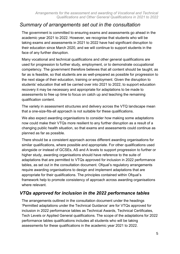# *Summary of arrangements set out in the consultation*

The government is committed to ensuring exams and assessments go ahead in the academic year 2021 to 2022. However, we recognise that students who will be taking exams and assessments in 2021 to 2022 have had significant disruption to their education since March 2020, and we will continue to support students in the face of any further disruption.

Many vocational and technical qualifications and other general qualifications are used for progression to further study, employment, or to demonstrate occupational competency. The government therefore believes that all content should be taught, as far as is feasible, so that students are as well-prepared as possible for progression to the next stage of their education, training or employment. Given the disruption to students' education that will be carried over into 2021 to 2022, to support education recovery it may be necessary and appropriate for adaptations to be made to assessments to free up time to focus on catch up and teaching the remaining qualification content.

The variety in assessment structures and delivery across the VTQ landscape mean that a one-size-fits-all approach is not suitable for these qualifications.

We also expect awarding organisations to consider how making some adaptations now could make their VTQs more resilient to any further disruption as a result of a changing public health situation, so that exams and assessments could continue as planned as far as possible.

There should be a consistent approach across different awarding organisations for similar qualifications, where possible and appropriate. For other qualifications used alongside or instead of GCSEs, AS and A levels to support progression to further or higher study, awarding organisations should have reference to the suite of adaptations that are permitted to VTQs approved for inclusion in 2022 performance tables, as set out in the consultation document. Ofqual's regulatory arrangements require awarding organisations to design and implement adaptations that are appropriate for their qualifications. The principles contained within Ofqual's framework help to promote consistency of approach across awarding organisations where relevant.

## *VTQs approved for inclusion in the 2022 performance tables*

The arrangements outlined in the consultation document under the headings 'Permitted adaptations under the Technical Guidance' are for VTQs approved for inclusion in 2022 performance tables as Technical Awards, Technical Certificates, Tech Levels or Applied General qualifications. The scope of the adaptations for 2022 performance tables qualifications includes all students who will be taking assessments for these qualifications in the academic year 2021 to 2022.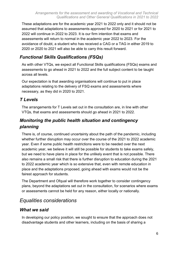These adaptations are for the academic year 2021 to 2022 only and it should not be assumed that adaptations to assessments approved for 2020 to 2021 or for 2021 to 2022 will continue in 2022 to 2023. It is our firm intention that exams and assessments will return to normal in the academic year 2022 to 2023. For the avoidance of doubt, a student who has received a CAG or a TAG in either 2019 to 2020 or 2020 to 2021 will also be able to carry this result forward.

# *Functional Skills Qualifications (FSQs)*

As with other VTQs, we expect all Functional Skills qualifications (FSQs) exams and assessments to go ahead in 2021 to 2022 and the full subject content to be taught across all levels.

Our expectation is that awarding organisations will continue to put in place adaptations relating to the delivery of FSQ exams and assessments where necessary, as they did in 2020 to 2021.

# *T Levels*

The arrangements for T Levels set out in the consultation are, in line with other VTQs, that exams and assessments should go ahead in 2021 to 2022.

# *Monitoring the public health situation and contingency planning*

There is, of course, continued uncertainty about the path of the pandemic, including whether further disruption may occur over the course of the 2021 to 2022 academic year. Even if some public health restrictions were to be needed over the next academic year, we believe it will still be possible for students to take exams safely, but we need to have plans in place for the unlikely event that is not possible. There also remains a small risk that there is further disruption to education during the 2021 to 2022 academic year which is so extensive that, even with remote education in place and the adaptations proposed, going ahead with exams would not be the fairest approach for students.

The Department and Ofqual will therefore work together to consider contingency plans, beyond the adaptations set out in the consultation, for scenarios where exams or assessments cannot be held for any reason, either locally or nationally.

# *Equalities considerations*

## *What we said*

In developing our policy position, we sought to ensure that the approach does not disadvantage students and other learners, including on the basis of sharing a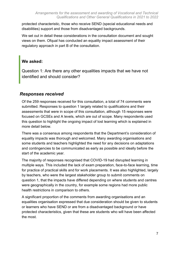protected characteristic, those who receive SEND (special educational needs and disabilities) support and those from disadvantaged backgrounds.

We set out in detail these considerations in the consultation document and sought views on them. Ofqual has conducted an equality impact assessment of their regulatory approach in part B of the consultation.

#### **We asked:**

Question 1: Are there any other equalities impacts that we have not identified and should consider?

## *Responses received*

Of the 259 responses received for this consultation, a total of 74 comments were submitted. Responses to question 1 largely related to qualifications and their assessments that were in scope of this consultation, although 15 responses were focused on GCSEs and A levels, which are out of scope. Many respondents used this question to highlight the ongoing impact of lost learning which is explained in more detail below.

There was a consensus among respondents that the Department's consideration of equality impacts was thorough and welcomed. Many awarding organisations and some students and teachers highlighted the need for any decisions on adaptations and contingencies to be communicated as early as possible and ideally before the start of the academic year.

The majority of responses recognised that COVID-19 had disrupted learning in multiple ways. This included the lack of exam preparation, face-to-face learning, time for practice of practical skills and for work placements. It was also highlighted, largely by teachers, who were the largest stakeholder group to submit comments on question 1, that the impacts have differed depending on where students and centres were geographically in the country, for example some regions had more public health restrictions in comparison to others.

A significant proportion of the comments from awarding organisations and an equalities organisation expressed that due consideration should be given to students or learners who have SEND or are from a disadvantaged background or have protected characteristics, given that these are students who will have been affected the most.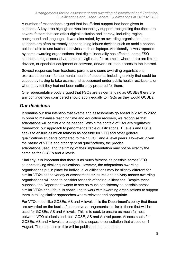A number of respondents argued that insufficient support had been given to students. A key area highlighted was technology support, recognising that there are several factors that can affect digital inclusion and literacy, including region, background and language. It was also noted, by an awarding organisation, that students are often extremely adept at using leisure devices such as mobile phones but less able to use business devices such as laptops. Additionally, it was reported by some awarding organisations, that digital inequality has affected some FSQ students being assessed via remote invigilation, for example, where there are limited devices, or specialist equipment or software, and/or disrupted access to the internet.

Several responses from teachers, parents and some awarding organisations, expressed concern for the mental health of students, including anxiety that could be caused by having to take exams and assessment under public health restrictions, or when they felt they had not been sufficiently prepared for them.

One representative body argued that FSQs are as demanding as GCSEs therefore any contingences considered should apply equally to FSQs as they would GCSEs.

## *Our decisions*

It remains our firm intention that exams and assessments go ahead in 2021 to 2022. In order to maximise teaching time and education recovery, we recognise that adaptations will continue to be needed. Within the context of Ofqual's regulatory framework, our approach to performance table qualifications, T Levels and FSQs seeks to ensure as much fairness as possible for VTQ and other general qualifications students compared to their GCSE and A level peers. However, given the nature of VTQs and other general qualifications, the precise adaptations used, and the timing of their implementation may not be exactly the same as for GCSEs and A levels.

Similarly, it is important that there is as much fairness as possible across VTQ students taking similar qualifications. However, the adaptations awarding organisations put in place for individual qualifications may be slightly different for similar VTQs as the variety of assessment structures and delivery means awarding organisations will need to consider for each of their qualifications. Despite these nuances, the Department wants to see as much consistency as possible across similar VTQs and Ofqual is continuing to work with awarding organisations to support them in taking similar approaches where relevant and appropriate.

For VTQs most like GCSEs, AS and A levels, it is the Department's policy that these are awarded on the basis of alternative arrangements similar to those that will be used for GCSEs, AS and A levels. This is to seek to ensure as much fairness between VTQ students and their GCSE, AS and A level peers. Assessments for GCSEs, AS and A levels are subject to a separate consultation that closed on 1 August. The response to this will be published in the autumn.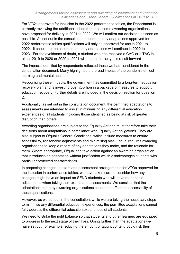#### *Arrangements for the assessment and awarding of Vocational and Technical Qualifications and Other General Qualifications in 2021 to 2022*

For VTQs approved for inclusion in the 2022 performance tables, the Department is currently reviewing the additional adaptations that some awarding organisations have proposed for delivery in 2021 to 2022. We will confirm our decisions as soon as possible. As set out in the consultation document, any adaptations approved for 2022 performance tables qualifications will only be approved for use in 2021 to 2022. It should not be assumed that any adaptations will continue in 2022 to 2023. For the avoidance of doubt, a student who has received a CAG or a TAG in either 2019 to 2020 or 2020 to 2021 will be able to carry this result forward

The impacts identified by respondents reflected those we had considered in the consultation document. Many highlighted the broad impact of the pandemic on lost learning and mental health.

Recognising these impacts, the government has committed to a long-term education recovery plan and is investing over £3billion in a package of measures to support education recovery. Further details are included in the decision section for question 2.

Additionally, as set out in the consultation document, the permitted adaptations to assessments are intended to assist in minimising any differential education experiences of all students including those identified as being at risk of greater disruption than others.

Awarding organisations are subject to the Equality Act and must therefore take their decisions about adaptations in compliance with Equality Act obligations. They are also subject to Ofqual's General Conditions, which include measures to ensure accessibility, reasonable adjustments and minimising bias. Ofqual requires awarding organisations to keep a record of any adaptations they make, and the rationale for them. Where appropriate, Ofqual can take action against an awarding organisation that introduces an adaptation without justification which disadvantages students with particular protected characteristics.

In proposing changes to exam and assessment arrangements for VTQs approved for the inclusion in performance tables, we have taken care to consider how any changes might have an impact on SEND students who will have reasonable adjustments when taking their exams and assessments. We consider that the adaptations made by awarding organisations should not affect the accessibility of these qualifications.

However, as we set out in the consultation, while we are taking the necessary steps to minimise any differential education experiences, the permitted adaptations cannot fully address the differential education experiences of all students.

We need to strike the right balance so that students and other learners are equipped to progress to the next stage of their lives. Going further than the adaptations we have set out, for example reducing the amount of taught content, could risk their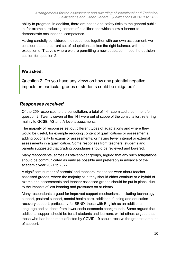ability to progress. In addition, there are health and safety risks to the general public in, for example, reducing content of qualifications which allow a learner to demonstrate occupational competence.

Having carefully considered the responses together with our own assessment, we consider that the current set of adaptations strikes the right balance, with the exception of T Levels where we are permitting a new adaptation – see the decision section for question 2.

#### **We asked:**

Question 2: Do you have any views on how any potential negative impacts on particular groups of students could be mitigated?

#### *Responses received*

Of the 259 responses to the consultation, a total of 141 submitted a comment for question 2. Twenty seven of the 141 were out of scope of the consultation, referring mainly to GCSE, AS and A level assessments.

The majority of responses set out different types of adaptations and where they would be useful, for example reducing content of qualifications or assessments, adding optionality to exams or assessments, or having fewer internal or external assessments in a qualification. Some responses from teachers, students and parents suggested that grading boundaries should be reviewed and lowered.

Many respondents, across all stakeholder groups, argued that any such adaptations should be communicated as early as possible and preferably in advance of the academic year 2021 to 2022.

A significant number of parents' and teachers' responses were about teacher assessed grades, where the majority said they should either continue or a hybrid of exams and assessments and teacher assessed grades should be put in place, due to the impacts of lost learning and pressures on students.

Many respondents argued for improved support mechanisms, including technology support, pastoral support, mental health care, additional funding and education recovery support, particularly for SEND, those with English as an additional language and students from lower socio-economic backgrounds. Some argued that additional support should be for all students and learners, whilst others argued that those who had been most affected by COVID-19 should receive the greatest amount of support.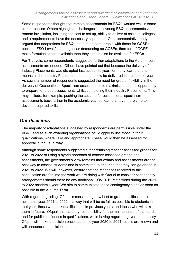#### *Arrangements for the assessment and awarding of Vocational and Technical Qualifications and Other General Qualifications in 2021 to 2022*

Some respondents thought that remote assessments for FSQs worked well in some circumstances. Others highlighted challenges in delivering FSQ assessments via remote invigilation, including the cost to set up, ability to deliver at scale in colleges, and a requirement to have the necessary equipment. One representative body argued that adaptations for FSQs need to be comparable with those for GCSEs because FSQ Level 2 can be just as demanding as GCSEs, therefore if GCSEs make formulae sheets available then they should also be available for FSQs.

For T Levels, some respondents suggested further adaptations to the Autumn core assessments are needed. Others have pointed out that because the delivery of Industry Placements was disrupted last academic year, for many learners, this means all the Industry Placement hours must now be delivered in the second year. As such, a number of respondents suggested the need for greater flexibility in the delivery of Occupational Specialism assessments to maximise students' opportunity to prepare for these assessments whilst completing their Industry Placements. This may include, for example, pushing the set time for occupational specialism assessments back further in the academic year so learners have more time to develop required skills.

#### *Our decisions*

The majority of adaptations suggested by respondents are permissible under the VCRF and as such awarding organisations could apply to use those in their qualifications, where valid and appropriate. These would then be assessed for approval in the usual way.

Although some respondents suggested either retaining teacher assessed grades for 2021 to 2022 or using a hybrid approach of teacher assessed grades and assessments, the government's view remains that exams and assessments are the best way to assess students and is committed to ensuring that they can go ahead in 2021 to 2022. We will, however, ensure that the responses received to this consultation are fed into the work we are doing with Ofqual to consider contingency arrangements should there be any additional COVID-19 restrictions during the 2021 to 2022 academic year. We aim to communicate these contingency plans as soon as possible in the Autumn Term.

With regard to grading, Ofqual is considering how best to grade qualifications in academic year 2021 to 2022 in a way that will be as fair as possible to students in that year, those who took qualifications in previous years, and those who will take them in future. Ofqual has statutory responsibility for the maintenance of standards and for public confidence in qualifications, while having regard to government policy. Ofqual will make a decision once academic year 2020 to 2021 results are known and will announce its decisions in the autumn.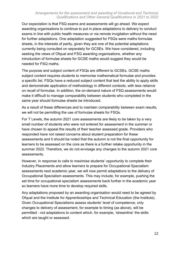Our expectation is that FSQ exams and assessments will go ahead. We expect awarding organisations to continue to put in place adaptations to delivery to conduct exams in line with public health measures or via remote invigilation without the need for further adaptations. One adaptation suggested for FSQs were maths formulae sheets, in the interests of parity, given they are one of the potential adaptations currently being consulted on separately for GCSEs. We have considered, including seeking the views of Ofqual and FSQ awarding organisations, whether any introduction of formulae sheets for GCSE maths would suggest they would be needed for FSQ maths.

The purpose and subject content of FSQs are different to GCSEs. GCSE maths subject content requires students to memorise mathematical formulae and provides a specific list. FSQs have a reduced subject content that test the ability to apply skills and demonstrate application of methodology in different contexts, with less reliance on recall of formulae. In addition, the on-demand nature of FSQ assessments would make it difficult to manage comparability between students who completed in the same year should formulae sheets be introduced.

As a result of these differences and to maintain comparability between exam results, we will not be permitting the use of formulae sheets for FSQs.

For T Levels, the autumn 2021 core assessments are likely to be taken by a very small number of students who were not entered for assessment in the summer or have chosen to appeal the results of their teacher assessed grade. Providers who responded have not raised concerns about student preparation for these assessments and it should be noted that the autumn is not the final opportunity for learners to be assessed on the core as there is a further retake opportunity in the summer 2022. Therefore, we do not envisage any changes to the autumn 2021 core assessments.

However, in response to calls to maximise students' opportunity to complete their Industry Placements and allow learners to prepare for Occupational Specialism assessments next academic year, we will now permit adaptations to the delivery of Occupational Specialism assessments. This may include, for example, pushing the set time for occupational specialism assessments back further in the academic year so learners have more time to develop required skills.

Any adaptations proposed by an awarding organisation would need to be agreed by Ofqual and the Institute for Apprenticeships and Technical Education (the Institute). Given Occupational Specialisms assess students' level of competence, only changes to delivery of assessment, for example to timing (as above), will be permitted - not adaptations to content which, for example, 'streamline' the skills which are taught or assessed.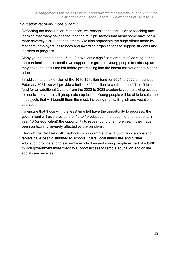#### *Education recovery more broadly*

Reflecting the consultation responses, we recognise the disruption to teaching and learning that many have faced, and the multiple factors that mean some have been more severely disrupted than others. We also appreciate the huge efforts made by teachers, employers, assessors and awarding organisations to support students and learners to progress.

Many young people aged 16 to 19 have lost a significant amount of learning during the pandemic. It is essential we support this group of young people to catch-up as they have the least time left before progressing into the labour market or onto higher education.

In addition to an extension of the 16 to 19 tuition fund for 2021 to 2022 announced in February 2021, we will provide a further £222 million to continue the 16 to 19 tuition fund for an additional 2 years from the 2022 to 2023 academic year, allowing access to one-to-one and small group catch up tuition. Young people will be able to catch up in subjects that will benefit them the most, including maths, English and vocational courses.

To ensure that those with the least time left have the opportunity to progress, the government will give providers of 16 to 19 education the option to offer students in year 13 (or equivalent) the opportunity to repeat up to one more year if they have been particularly severely affected by the pandemic.

Through the Get Help with Technology programme, over 1.35 million laptops and tablets have been distributed to schools, trusts, local authorities and further education providers for disadvantaged children and young people as part of a £400 million government investment to support access to remote education and online social care services.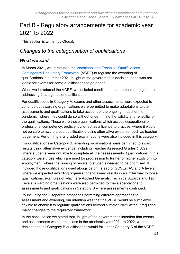# <span id="page-13-0"></span>Part B - Regulatory arrangements for academic year 2021 to 2022

This section is written by Ofqual.

# *Changes to the categorisation of qualifications*

#### *What we said*

In March 2021, we introduced the [Vocational and Technical Qualifications](https://www.gov.uk/government/publications/vocational-and-technical-qualifications-contingency-regulatory-framework)  [Contingency Regulatory Framework](https://www.gov.uk/government/publications/vocational-and-technical-qualifications-contingency-regulatory-framework) (VCRF) to regulate the awarding of qualifications in summer 2021 in light of the government's decision that it was not viable for exams for some qualifications to go ahead.

When we introduced the VCRF, we included conditions, requirements and guidance addressing 2 categories of qualifications.

For qualifications in Category A, exams and other assessments were expected to continue but awarding organisations were permitted to make adaptations to their assessments and qualifications to take account of the ongoing impact of the pandemic, where they could do so without undermining the validity and reliability of the qualifications. These were those qualifications which assess occupational or professional competency, proficiency, or act as a licence to practise, where it would not be safe to award these qualifications using alternative evidence, such as teacher judgement. Performing arts graded examinations were also included in this category.

For qualifications in Category B, awarding organisations were permitted to award results using alternative evidence, including Teacher Assessed Grades (TAGs), where students were not able to complete all their assessments. Qualifications in this category were those which are used for progression to further or higher study or into employment, where the issuing of results to students needed to be prioritised. It included those qualifications used alongside or instead of GCSEs, AS and A levels, where we expected awarding organisations to award results in a similar way to those qualifications, examples of which are Applied Generals, Technical Awards and Tech Levels. Awarding organisations were also permitted to make adaptations to assessments and qualifications in Category B where assessments continued.

By including the 2 separate categories permitting different approaches to assessment and awarding, our intention was that the VCRF would be sufficiently flexible to enable it to regulate qualifications beyond summer 2021 without requiring major changes to the regulatory framework.

In the consultation we stated that, in light of the government's intention that exams and assessments would take place in the academic year 2021 to 2022, we had decided that all Category B qualifications would fall under Category A of the VCRF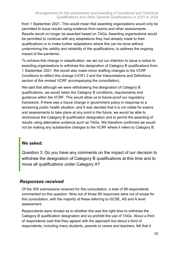from 1 September 2021. This would mean that awarding organisations would only be permitted to issue results using evidence from exams and other assessments. Results would no longer be awarded based on TAGs. Awarding organisations would be permitted to continue with any adaptations they had already made to their qualifications or to make further adaptations where this can be done without undermining the validity and reliability of the qualifications, to address the ongoing impact of the pandemic.

To achieve this change in classification, we set out our intention to issue a notice to awarding organisations to withdraw the designation of Category B qualifications from 1 September 2021. We would also make minor drafting changes to the VCRF Conditions to reflect this change (VCR1.3 and the Interpretations and Definitions section of the revised VCRF accompanying the consultation).

We said that although we were withdrawing the designation of Category B qualifications, we would retain the Category B conditions, requirements and guidance within the VCRF. This would allow us to future-proof our regulatory framework. If there was a future change in government policy in response to a worsening public health situation, and it was decided that it is not viable for exams and assessments to take place at any point in the future, we would be able to reintroduce the Category B qualification designation and to permit the awarding of results using alternative evidence such as TAGs. We therefore confirmed we would not be making any substantive changes to the VCRF where it refers to Category B.

#### **We asked:**

Question 3: Do you have any comments on the impact of our decision to withdraw the designation of Category B qualifications at this time and to move all qualifications under Category A?

#### *Responses received*

Of the 259 submissions received for this consultation, a total of 99 respondents commented on this question. Nine out of those 99 responses were out of scope for this consultation, with the majority of these referring to GCSE, AS and A level assessment.

Respondents were divided as to whether this was the right time to withdraw the Category B qualification designation and so prohibit the use of TAGs. About a third of respondents said that they agreed with the approach but about a third of respondents, including many students, parents or carers and teachers, felt that it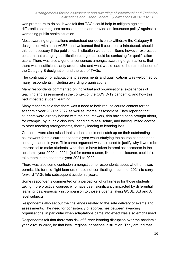was premature to do so. It was felt that TAGs could help to mitigate against differential learning loss across students and provide an 'insurance policy' against a worsening public health situation.

Most awarding organisations understood our decision to withdraw the Category B designation within the VCRF, and welcomed that it could be re-introduced, should this be necessary if the public health situation worsened. Some however expressed concern that changing qualification categories could be confusing for qualification users. There was also a general consensus amongst awarding organisations, that there was insufficient clarity around who and what would lead to the reintroduction of the Category B designation and the use of TAGs.

The continuation of adaptations to assessments and qualifications was welcomed by many respondents, including awarding organisations.

Many respondents commented on individual and organisational experiences of teaching and assessment in the context of the COVID-19 pandemic, and how this had impacted student learning.

Many teachers said that there was a need to both reduce course content for the academic year 2021 to 2022 as well as internal assessment. They reported that students were already behind with their coursework, this having been brought about, for example, by 'bubble closures', needing to self-isolate, and having limited access to other teaching arrangements, thereby leading to learning loss.

Concerns were also raised that students could not catch up on their outstanding coursework for this current academic year whilst studying the course content in the coming academic year. This same argument was also used to justify why it would be impractical to make students, who should have taken internal assessments in the academic year 2020 to 2021, (but for some reason, like bubble closures, couldn't), take them in the academic year 2021 to 2022.

There was also some confusion amongst some respondents about whether it was permissible for mid-flight learners (those not certificating in summer 2021) to carry forward TAGs into subsequent academic years.

Some respondents commented on a perception of unfairness for those students taking more practical courses who have been significantly impacted by differential learning loss, especially in comparison to those students taking GCSE, AS and A level subjects.

Respondents also set out the challenges related to the safe delivery of exams and assessments. The need for consistency of approaches between awarding organisations, in particular when adaptations came into effect was also emphasised.

Respondents felt that there was risk of further learning disruption over the academic year 2021 to 2022, be that local, regional or national disruption. They argued that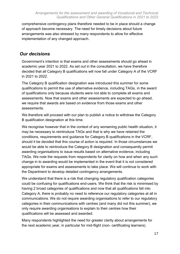comprehensive contingency plans therefore needed to be in place should a change of approach become necessary. The need for timely decisions about future arrangements was also stressed by many respondents to allow for effective implementation of any changed approach.

#### *Our decisions*

Government's intention is that exams and other assessments should go ahead in academic year 2021 to 2022. As set out in the consultation, we have therefore decided that all Category B qualifications will now fall under Category A of the VCRF in 2021 to 2022.

The Category B qualification designation was introduced this summer for some qualifications to permit the use of alternative evidence, including TAGs, in the award of qualifications only because students were not able to complete all exams and assessments. Now that exams and other assessments are expected to go ahead, we require that awards are based on evidence from those exams and other assessments.

We therefore will proceed with our plan to publish a notice to withdraw the Category B qualification designation at this time.

We recognise however that in the context of any worsening public health situation, it may be necessary to reintroduce TAGs and that is why we have retained the conditions, requirements and guidance for Category B qualifications in the VCRF, should it be decided that this course of action is required. In those circumstances we would be able to reintroduce the Category B designation and consequently permit awarding organisations to issue results based on alternative evidence, including TAGs. We note the requests from respondents for clarity on how and when any such change in to awarding would be implemented in the event that it is not considered appropriate for exams and assessments to take place. We will continue to work with the Department to develop detailed contingency arrangements.

We understand that there is a risk that changing regulatory qualification categories could be confusing for qualifications end-users. We think that the risk is minimised by having 2 broad categories of qualifications and now that all qualifications fall into Category A, there is probably no need to reference our regulatory categories at all in communications. We do not require awarding organisations to refer to our regulatory categories in their communications with centres (and many did not this summer), we only require awarding organisations to explain to their centres how their qualifications will be assessed and awarded.

Many respondents highlighted the need for greater clarity about arrangements for the next academic year, in particular for mid-flight (non- certificating learners).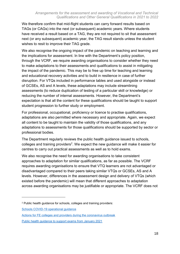We therefore confirm that mid-flight students can carry forward results based on TAGs (or CAGs) into the next (or subsequent) academic years. Where students have received a result based on a TAG, they are not required to sit that assessment next (or any subsequent) academic year, the TAG result stands unless the student wishes to resit to improve their TAG grade.

We also recognise the ongoing impact of the pandemic on teaching and learning and the implications for assessment. In line with the Department's policy position, through the VCRF, we require awarding organisations to consider whether they need to make adaptations to their assessments and qualifications to assist in mitigating the impact of the pandemic. This may be to free up time for teaching and learning and educational recovery activities and to build in resilience in case of further disruption. For VTQs included in performance tables and used alongside or instead of GCSEs, AS and A levels, these adaptations may include streamlining assessments (to reduce duplication of testing of a particular skill or knowledge) or reducing the number of internal assessments. However, the Department's expectation is that all the content for these qualifications should be taught to support student progression to further study or employment.

For professional, occupational, proficiency or licence to practise qualifications, adaptations are also permitted where necessary and appropriate. Again, we expect all content to be taught to maintain the validity of those qualifications, and any adaptations to assessments for those qualifications should be supported by sector or professional bodies.

The Department regularly reviews the public health guidance issued to schools, colleges and training providers<sup>2</sup>. We expect the new guidance will make it easier for centres to carry out practical assessments as well as to hold exams.

We also recognise the need for awarding organisations to take consistent approaches to adaptation for similar qualifications, as far as possible. The VCRF requires awarding organisations to ensure that VTQ learners are not advantaged or disadvantaged compared to their peers taking similar VTQs or GCSEs, AS and A levels. However, differences in the assessment design and delivery of VTQs (which existed before the pandemic) will mean that different approaches to adaptation across awarding organisations may be justifiable or appropriate. The VCRF does not

 $\overline{a}$ 

<sup>2</sup> Public health guidance for schools, colleges and training providers:

[Schools COVID-19 operational guidance](https://www.gov.uk/government/publications/actions-for-schools-during-the-coronavirus-outbreak/schools-covid-19-operational-guidance)

[Actions for FE colleges and providers during the coronavirus outbreak](https://www.gov.uk/government/publications/coronavirus-covid-19-maintaining-further-education-provision)

[Public health guidance to support exams from January 2021](https://www.gov.uk/government/publications/responsibility-for-autumn-gcse-as-and-a-level-exam-series/public-health-arrangements-for-autumn-exams)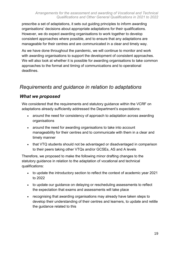prescribe a set of adaptations, it sets out guiding principles to inform awarding organisations' decisions about appropriate adaptations for their qualifications. However, we do expect awarding organisations to work together to develop consistent approaches where possible, and to ensure that any adaptations are manageable for their centres and are communicated in a clear and timely way.

As we have done throughout the pandemic, we will continue to monitor and work with awarding organisations to support the development of consistent approaches. We will also look at whether it is possible for awarding organisations to take common approaches to the format and timing of communications and to operational deadlines.

# *Requirements and guidance in relation to adaptations*

## *What we proposed*

We considered that the requirements and statutory guidance within the VCRF on adaptations already sufficiently addressed the Department's expectations:

- around the need for consistency of approach to adaptation across awarding organisations
- around the need for awarding organisations to take into account manageability for their centres and to communicate with them in a clear and timely manner
- that VTQ students should not be advantaged or disadvantaged in comparison to their peers taking other VTQs and/or GCSEs, AS and A levels

Therefore, we proposed to make the following minor drafting changes to the statutory guidance in relation to the adaptation of vocational and technical qualifications:

- to update the introductory section to reflect the context of academic year 2021 to 2022
- to update our guidance on delaying or rescheduling assessments to reflect the expectation that exams and assessments will take place
- recognising that awarding organisations may already have taken steps to develop their understanding of their centres and learners, to update and retitle the guidance related to this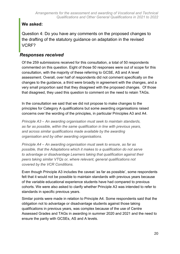## **We asked:**

Question 4: Do you have any comments on the proposed changes to the drafting of the statutory guidance on adaptation in the revised VCRF?

## *Responses received*

Of the 259 submissions received for this consultation, a total of 50 respondents commented on this question. Eight of those 50 responses were out of scope for this consultation, with the majority of these referring to GCSE, AS and A level assessment. Overall, over half of respondents did not comment specifically on the changes to the guidance, a third were broadly in agreement with the changes, and a very small proportion said that they disagreed with the proposed changes. Of those that disagreed, they used this question to comment on the need to retain TAGs.

In the consultation we said that we did not propose to make changes to the principles for Category A qualifications but some awarding organisations raised concerns over the wording of the principles, in particular Principles A3 and A4.

*Principle A3 – An awarding organisation must seek to maintain standards, as far as possible, within the same qualification in line with previous years, and across similar qualifications made available by the awarding organisation and by other awarding organisations.*

*Principle A4 – An awarding organisation must seek to ensure, as far as possible, that the Adaptations which it makes to a qualification do not serve to advantage or disadvantage Learners taking that qualification against their peers taking similar VTQs or, where relevant, general qualifications not covered by the VCR Conditions.*

Even though Principle A3 includes the caveat 'as far as possible', some respondents felt that it would not be possible to maintain standards with previous years because of the variable educational experience students have had compared to previous cohorts. We were also asked to clarify whether Principle A3 was intended to refer to standards in specific previous years.

Similar points were made in relation to Principle A4. Some respondents said that the obligation not to advantage or disadvantage students against those taking qualifications in previous years, was complex because of the use of Centre Assessed Grades and TAGs in awarding in summer 2020 and 2021 and the need to ensure the parity with GCSEs, AS and A levels.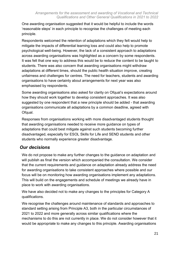One awarding organisation suggested that it would be helpful to include the words 'reasonable steps' in each principle to recognise the challenges of meeting each principle.

Respondents welcomed the retention of adaptations which they felt would help to mitigate the impacts of differential learning loss and could also help to promote psychological well-being. However, the lack of a consistent approach to adaptations across awarding organisations was highlighted as a concern by some respondents. It was felt that one way to address this would be to reduce the content to be taught to students. There was also concern that awarding organisations might withdraw adaptations at different times, should the public health situation improve, creating unfairness and challenges for centres. The need for teachers, students and awarding organisations to have certainty about arrangements for next year was also emphasised by respondents.

Some awarding organisations also asked for clarity on Ofqual's expectations around how they should work together to develop consistent approaches. It was also suggested by one respondent that a new principle should be added - that awarding organisations communicate all adaptations by a common deadline, agreed with Ofqual.

Responses from organisations working with more disadvantaged students thought that awarding organisations needed to receive more guidance on types of adaptations that could best mitigate against such students becoming further disadvantaged, especially for ESOL Skills for Life and SEND students and other students who normally experience greater disadvantage.

## *Our decisions*

We do not propose to make any further changes to the guidance on adaptation and will publish as final the version which accompanied the consultation. We consider that the current requirements and guidance on adaptation already address the need for awarding organisations to take consistent approaches where possible and our focus will be on monitoring how awarding organisations implement any adaptations. This will build on the engagements and schedule of meetings we already have in place to work with awarding organisations.

We have also decided not to make any changes to the principles for Category A qualifications.

We recognise the challenges around maintenance of standards and approaches to standard setting arising from Principle A3, both in the particular circumstances of 2021 to 2022 and more generally across similar qualifications where the mechanisms to do this are not currently in place. We do not consider however that it would be appropriate to make any changes to this principle. Awarding organisations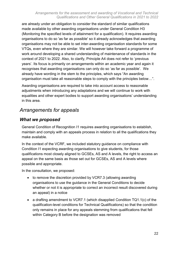#### *Arrangements for the assessment and awarding of Vocational and Technical Qualifications and Other General Qualifications in 2021 to 2022*

are already under an obligation to consider the standard of similar qualifications made available by other awarding organisations under General Condition H3 (Monitoring the specified levels of attainment for a qualification). It requires awarding organisations to do so 'as far as possible' so it already acknowledges that awarding organisations may not be able to set inter-awarding organisation standards for some VTQs, even where they are similar. We will however take forward a programme of work around developing a shared understanding of maintenance of standards in the context of 2021 to 2022. Also, to clarify, Principle A4 does not refer to 'previous years'. Its focus is primarily on arrangements within an academic year and again it recognises that awarding organisations can only do so 'as far as possible'. We already have wording in the stem to the principles, which says "An awarding organisation must take all reasonable steps to comply with the principles below…".

Awarding organisations are required to take into account access to reasonable adjustments when introducing any adaptations and we will continue to work with equalities and other expert bodies to support awarding organisations' understanding in this area.

# *Arrangements for appeals*

#### *What we proposed*

General Condition of Recognition I1 requires awarding organisations to establish, maintain and comply with an appeals process in relation to all the qualifications they make available.

In the context of the VCRF, we included statutory guidance on compliance with Condition I1 expecting awarding organisations to give students, for those qualifications most closely aligned to GCSEs, AS and A levels, the right to access an appeal on the same basis as those set out for GCSEs, AS and A levels where possible and appropriate.

In the consultation, we proposed:

- to remove the discretion provided by VCR7.3 (allowing awarding organisations to use the guidance in the General Conditions to decide whether or not it is appropriate to correct an incorrect result discovered during an appeal) in a notice
- a drafting amendment to VCR7.1 (which disapplied Condition TQ1.1(c) of the qualification-level conditions for Technical Qualifications) so that the condition only remains in place for any appeals stemming from qualifications that fell within Category B before the designation was removed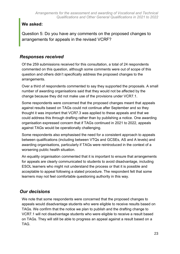## **We asked:**

Question 5: Do you have any comments on the proposed changes to arrangements for appeals in the revised VCRF?

#### *Responses received*

Of the 259 submissions received for this consultation, a total of 24 respondents commented on this question, although some comments were out of scope of this question and others didn't specifically address the proposed changes to the arrangements.

Over a third of respondents commented to say they supported the proposals. A small number of awarding organisations said that they would not be affected by the change because they did not make use of the provisions under VCR7.1.

Some respondents were concerned that the proposed changes meant that appeals against results based on TAGs could not continue after September and so they thought it was important that VCR7.3 was applied to these appeals and that we could address this through drafting rather than by publishing a notice. One awarding organisation expressed concern that if TAGs continued in 2021 to 2022, appeals against TAGs would be operationally challenging.

Some respondents also emphasised the need for a consistent approach to appeals between qualifications (including between VTQs and GCSEs, AS and A levels) and awarding organisations, particularly if TAGs were reintroduced in the context of a worsening public health situation.

An equality organisation commented that it is important to ensure that arrangements for appeals are clearly communicated to students to avoid disadvantage, including ESOL learners who might not understand the process or that it is possible and acceptable to appeal following a stated procedure. The respondent felt that some learners may not feel comfortable questioning authority in this way.

# *Our decisions*

We note that some respondents were concerned that the proposed changes to appeals would disadvantage students who were eligible to receive results based on TAGs. We confirm that the notice we plan to publish and the drafting change to VCR7.1 will not disadvantage students who were eligible to receive a result based on TAGs. They will still be able to progress an appeal against a result based on a TAG.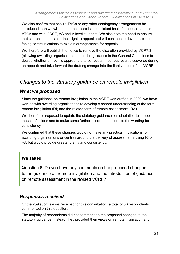We also confirm that should TAGs or any other contingency arrangements be introduced then we will ensure that there is a consistent basis for appeals across VTQs and with GCSE, AS and A level students. We also note the need to ensure that students understand their right to appeal and will continue to develop studentfacing communications to explain arrangements for appeals.

We therefore will publish the notice to remove the discretion provided by VCR7.3 (allowing awarding organisations to use the guidance in the General Conditions to decide whether or not it is appropriate to correct an incorrect result discovered during an appeal) and take forward the drafting change into the final version of the VCRF.

# *Changes to the statutory guidance on remote invigilation*

#### *What we proposed*

Since the guidance on remote invigilation in the VCRF was drafted in 2020, we have worked with awarding organisations to develop a shared understanding of the term remote invigilation (RI) and the related term of remote assessment (RA).

We therefore proposed to update the statutory guidance on adaptation to include these definitions and to make some further minor adaptations to the wording for consistency.

We confirmed that these changes would not have any practical implications for awarding organisations or centres around the delivery of assessments using RI or RA but would provide greater clarity and consistency.

## **We asked:**

Question 6: Do you have any comments on the proposed changes to the guidance on remote invigilation and the introduction of guidance on remote assessment in the revised VCRF?

#### *Responses received*

Of the 259 submissions received for this consultation, a total of 36 respondents commented on this question.

The majority of respondents did not comment on the proposed changes to the statutory guidance. Instead, they provided their views on remote invigilation and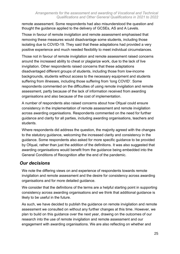remote assessment. Some respondents had also misunderstood the question and thought the guidance applied to the delivery of GCSEs, AS and A Levels.

Those in favour of remote invigilation and remote assessment emphasised that removing these measures would disadvantage some students, including those isolating due to COVID-19. They said that these adaptations had provided a very positive experience and much needed flexibility to meet individual circumstances.

Those not in favour of remote invigilation and remote assessment raised concerns around the increased ability to cheat or plagiarize work, due to the lack of live invigilation. Other respondents raised concerns that these adaptations disadvantaged different groups of students, including those from low-income backgrounds, students without access to the necessary equipment and students suffering from illnesses, including those suffering from 'long COVID'. Some respondents commented on the difficulties of using remote invigilation and remote assessment, partly because of the lack of information received from awarding organisations and also because of the cost of implementation.

A number of respondents also raised concerns about how Ofqual could ensure consistency in the implementation of remote assessment and remote invigilation across awarding organisations. Respondents commented on the need for further guidance and clarity for all parties, including awarding organisations, teachers and students.

Where respondents did address the question, the majority agreed with the changes to the statutory guidance, welcoming the increased clarity and consistency in the guidance. Some respondents also asked for more specific guidance to be provided by Ofqual, rather than just the addition of the definitions. It was also suggested that awarding organisations would benefit from the guidance being embedded into the General Conditions of Recognition after the end of the pandemic.

## *Our decisions*

We note the differing views on and experience of respondents towards remote invigilation and remote assessment and the desire for consistency across awarding organisations and for more detailed guidance.

We consider that the definitions of the terms are a helpful starting point in supporting consistency across awarding organisations and we think that additional guidance is likely to be useful in the future.

As such, we have decided to publish the guidance on remote invigilation and remote assessment we consulted on without any further changes at this time. However, we plan to build on this guidance over the next year, drawing on the outcomes of our research into the use of remote invigilation and remote assessment and our engagement with awarding organisations. We are also reflecting on whether and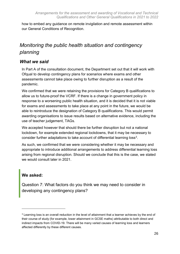how to embed any guidance on remote invigilation and remote assessment within our General Conditions of Recognition.

# *Monitoring the public health situation and contingency planning*

#### *What we said*

In Part A of the consultation document, the Department set out that it will work with Ofqual to develop contingency plans for scenarios where exams and other assessments cannot take place owing to further disruption as a result of the pandemic.

We confirmed that we were retaining the provisions for Category B qualifications to allow us to future-proof the VCRF. If there is a change in government policy in response to a worsening public health situation, and it is decided that it is not viable for exams and assessments to take place at any point in the future, we would be able to reintroduce the designation of Category B qualifications. This would permit awarding organisations to issue results based on alternative evidence, including the use of teacher judgement, TAGs.

We accepted however that should there be further disruption but not a national lockdown, for example extended regional lockdowns, that it may be necessary to consider further adaptations to take account of differential learning loss $^3$ .

As such, we confirmed that we were considering whether it may be necessary and appropriate to introduce additional arrangements to address differential learning loss arising from regional disruption. Should we conclude that this is the case, we stated we would consult later in 2021.

#### **We asked:**

 $\overline{a}$ 

Question 7: What factors do you think we may need to consider in developing any contingency plans?

<sup>&</sup>lt;sup>3</sup> Learning loss is an overall reduction in the level of attainment that a learner achieves by the end of their course of study (for example, lower attainment in GCSE maths) attributable to both direct and indirect impacts from COVID-19. There will be many varied causes of learning loss and learners affected differently by these different causes.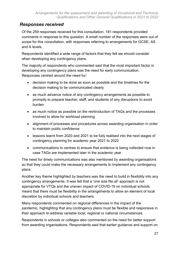#### *Responses received*

Of the 259 responses received for this consultation, 181 respondents provided comments in response to this question. A small number of the responses were out of scope for this consultation, with responses referring to arrangements for GCSE, AS and A levels.

Respondents identified a wide range of factors that they felt we should consider when developing any contingency plans.

The majority of respondents who commented said that the most important factor in developing any contingency plans was the need for early communication. Responses centred around the need for:

- decision making to be done as soon as possible and the timelines for the decision making to be communicated clearly
- as much advance notice of any contingency arrangements as possible to promptly to prepare teacher, staff, and students of any disruptions to avoid burden
- as much notice as possible on the reintroduction of TAGs and the processes involved to allow for workload planning
- alignment of processes and procedures across awarding organisation in order to maintain public confidence
- lessons learnt from 2020 and 2021 to be fully realised into the next stages of contingency planning for academic year 2021 to 2022
- communications to centres to ensure that evidence is being collected now in case TAGs are implemented later in the academic year

The need for timely communications was also mentioned by awarding organisations so that they could make the necessary arrangements to implement any contingency plans.

Another key theme highlighted by teachers was the need to build in flexibility into any contingency arrangements. It was felt that a 'one size fits all' approach is not appropriate for VTQs and the uneven impact of COVID-19 on individual schools meant that there must be flexibility in the arrangements to allow an element of local discretion by individual schools and teachers.

Many respondents commented on regional differences in the impact of the pandemic, highlighting that any contingency plans must be flexible and responsive in their approach to address variable local, regional or national circumstances.

Respondents in schools or colleges also commented on the need for better support from awarding organisations. Respondents said that earlier guidance and support on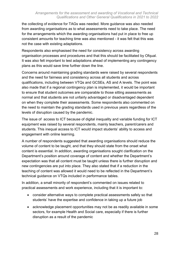the collecting of evidence for TAGs was needed. More guidance was also needed from awarding organisations as to what assessments need to take place. The need for the arrangements which the awarding organisations had put in place to free up consistent amounts for teaching time was also mentioned - it was felt that this was not the case with existing adaptations.

Respondents also emphasised the need for consistency across awarding organisation processes and procedures and that this should be facilitated by Ofqual. It was also felt important to test adaptations ahead of implementing any contingency plans as this would save time further down the line.

Concerns around maintaining grading standards were raised by several respondents and the need for fairness and consistency across all students and across qualifications, including between VTQs and GCSEs, AS and A levels. The point was also made that if a regional contingency plan is implemented, it would be important to ensure that student outcomes are comparable to those sitting assessments as normal and that students are not unfairly advantaged or disadvantaged dependent on when they complete their assessments. Some respondents also commented on the need to maintain the grading standards used in previous years regardless of the levels of disruption caused by the pandemic.

The issue of access to ICT because of digital inequality and variable funding for ICT equipment was raised by several respondents, mainly teachers, parent/carers and students. This inequal access to ICT would impact students' ability to access and engagement with online learning.

A number of respondents suggested that awarding organisations should reduce the volume of content to be taught, and that they should state from the onset what content is essential. In addition, awarding organisations sought clarification on the Department's position around coverage of content and whether the Department's expectation was that all content must be taught unless there is further disruption and new contingencies are put into place. They also stated that if a reduction in the teaching of content was allowed it would need to be reflected in the Department's technical guidance on VTQs included in performance tables.

In addition, a small minority of respondent's commented on issues related to practical assessments and work experience, including that it is important to:

- consider alternative ways to complete practical assessments safely so that students' have the expertise and confidence in taking up a future job
- acknowledge placement opportunities may not be as readily available in some sectors, for example Health and Social care, especially if there is further disruption as a result of the pandemic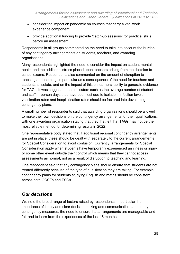- consider the impact on pandemic on courses that carry a vital work experience component
- provide additional funding to provide 'catch-up sessions' for practical skills before an assessment

Respondents in all groups commented on the need to take into account the burden of any contingency arrangements on students, teachers, and awarding organisations.

Many respondents highlighted the need to consider the impact on student mental health and the additional stress placed upon teachers arising from the decision to cancel exams. Respondents also commented on the amount of disruption to teaching and learning, in particular as a consequence of the need for teachers and students to isolate, and on the impact of this on learners' ability to generate evidence for TAGs. It was suggested that indicators such as the average number of student and staff in-person days that have been lost due to isolation, infection levels, vaccination rates and hospitalisation rates should be factored into developing contingency plans.

A small number of respondents said that awarding organisations should be allowed to make their own decisions on the contingency arrangements for their qualifications, with one awarding organisation stating that they that felt that TAGs may not be the most reliable method for determining results in 2022.

One representative body stated that if additional regional contingency arrangements are put in place, these should be dealt with separately to the current arrangements for Special Consideration to avoid confusion. Currently, arrangements for Special Consideration apply when students have temporarily experienced an illness or injury or some other event outside their control which means that they cannot access assessments as normal, not as a result of disruption to teaching and learning.

One respondent said that any contingency plans should ensure that students are not treated differently because of the type of qualification they are taking. For example, contingency plans for students studying English and maths should be consistent across both GCSEs and FSQs.

# *Our decisions*

We note the broad range of factors raised by respondents, in particular the importance of timely and clear decision making and communications about any contingency measures, the need to ensure that arrangements are manageable and fair and to learn from the experiences of the last 18 months.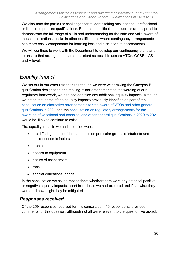We also note the particular challenges for students taking occupational, professional or licence to practise qualifications. For these qualifications, students are required to demonstrate the full range of skills and understanding for the safe and valid award of those qualifications, unlike in other qualifications where contingency arrangements can more easily compensate for learning loss and disruption to assessments.

We will continue to work with the Department to develop our contingency plans and to ensure that arrangements are consistent as possible across VTQs, GCSEs, AS and A level.

# *Equality impact*

We set out in our consultation that although we were withdrawing the Category B qualification designation and making minor amendments to the wording of our regulatory framework, we had not identified any additional equality impacts, although we noted that some of the equality impacts previously identified as part of the [consultation on alternative arrangements for the award of VTQs and other general](https://www.gov.uk/government/consultations/consultation-on-alternative-arrangements-for-the-award-of-vtqs-and-other-general-qualifications-in-2021)  [qualifications in 2021](https://www.gov.uk/government/consultations/consultation-on-alternative-arrangements-for-the-award-of-vtqs-and-other-general-qualifications-in-2021) and the [consultation on regulatory arrangements for the](https://www.gov.uk/government/consultations/regulatory-arrangements-for-the-awarding-of-vocational-and-technical-and-other-general-qualifications-in-2020-2021)  [awarding of vocational and technical and other general qualifications in 2020 to 2021](https://www.gov.uk/government/consultations/regulatory-arrangements-for-the-awarding-of-vocational-and-technical-and-other-general-qualifications-in-2020-2021) would be likely to continue to exist.

The equality impacts we had identified were:

- the differing impact of the pandemic on particular groups of students and socio-economic factors
- mental health
- access to equipment
- nature of assessment
- race
- special educational needs

In the consultation we asked respondents whether there were any potential positive or negative equality impacts, apart from those we had explored and if so, what they were and how might they be mitigated.

#### *Responses received*

Of the 259 responses received for this consultation, 40 respondents provided comments for this question, although not all were relevant to the question we asked.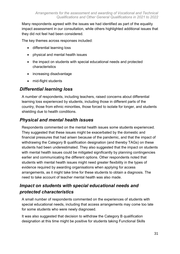Many respondents agreed with the issues we had identified as part of the equality impact assessment in our consultation, while others highlighted additional issues that they did not feel had been considered.

The key themes across responses included:

- differential learning loss
- physical and mental health issues
- the impact on students with special educational needs and protected characteristics
- increasing disadvantage
- mid-flight students

#### *Differential learning loss*

A number of respondents, including teachers, raised concerns about differential learning loss experienced by students, including those in different parts of the country, those from ethnic minorities, those forced to isolate for longer, and students shielding due to health conditions.

#### *Physical and mental health issues*

Respondents commented on the mental health issues some students experienced. They suggested that these issues might be exacerbated by the domestic and financial pressures that had arisen because of the pandemic, and that the impact of withdrawing the Category B qualification designation (and thereby TAGs) on these students had been underestimated. They also suggested that the impact on students with mental health issues could be mitigated significantly by planning contingencies earlier and communicating the different options. Other respondents noted that students with mental health issues might need greater flexibility in the types of evidence required by awarding organisations when applying for access arrangements, as it might take time for these students to obtain a diagnosis. The need to take account of teacher mental health was also made.

# *Impact on students with special educational needs and protected characteristics*

A small number of respondents commented on the experiences of students with special educational needs, including that access arrangements may come too late for some students who were newly diagnosed.

It was also suggested that decision to withdraw the Category B qualification designation at this time might be positive for students taking Functional Skills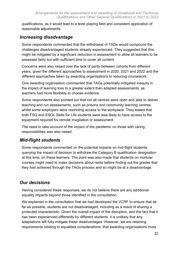qualifications, as it would lead to a level playing field and consistent application of reasonable adjustments.

#### *Increasing disadvantage*

Some respondents commented that the withdrawal of TAGs would compound the challenges disadvantaged students already experienced. They suggested that this might be mitigated by a significant reduction in assessment to allow all learners to be assessed fairly but with sufficient time to cover all content.

Concerns were also raised over the lack of parity between cohorts from different years, given the different approaches to assessment in 2020, 2021 and 2022 and the different approaches taken by awarding organisations to reducing coursework.

One awarding organisation commented that TAGs potentially mitigated inequity in the impact of learning loss to a greater extent than adapted assessments, as teachers had more flexibility to choose evidence.

Some respondents also pointed out that not all centres were open and able to deliver teaching and run assessments, such as prisons and community learning centres, whilst some employers were restricting access to the workplace. They stated that both FSQ and ESOL Skills for Life students were less likely to have access to the equipment required for remote invigilation or assessment.

The need to take account of the impact of the pandemic on those with caring responsibilities was also raised.

## *Mid-flight students*

Some respondents commented on the potential impacts on mid-flight students, querying the impact of decision to withdraw the Category B qualification designation at this time, on these learners. The point was also made that students on modular courses might need to make decisions about resits before finding out the grades that they had achieved through the TAGs process and so might be at a disadvantage.

## *Our decisions*

Having considered these responses, we do not believe there are any additional equality impacts beyond those identified in the consultation.

We explained in the consultation that we had developed the VCRF to ensure that as far as possible, students are not disadvantaged, including as a result of sharing a protected characteristic. Given the overall impact of the disruption, and the fact that it has been experienced differently by different students, it is unlikely that any adaptations will fully mitigate these disadvantages. However, we are retaining requirements relating to equalities considerations, that awarding organisations must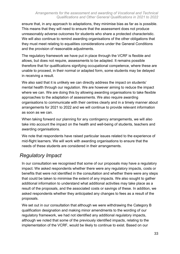ensure that, in any approach to adaptations, they minimise bias as far as is possible. This means that they will need to ensure that the assessment does not produce unreasonably adverse outcomes for students who share a protected characteristic. We will also continue to remind awarding organisations of the other obligations that they must meet relating to equalities considerations under the General Conditions and the provision of reasonable adjustments.

The regulatory framework we have put in place through the VCRF is flexible and allows, but does not require, assessments to be adapted. It remains possible therefore that for qualifications signifying occupational competence, where these are unable to proceed, in their normal or adapted form, some students may be delayed in receiving a result.

We also said that it is unlikely we can directly address the impact on students' mental health through our regulation. We are however aiming to reduce the impact where we can. We are doing this by allowing awarding organisations to take flexible approaches to the adaptation of assessments. We also require awarding organisations to communicate with their centres clearly and in a timely manner about arrangements for 2021 to 2022 and we will continue to provide relevant information as soon as we can.

When taking forward our planning for any contingency arrangements, we will also take into account the impact on the health and well-being of students, teachers and awarding organisations.

We note that respondents have raised particular issues related to the experience of mid-flight learners. We will work with awarding organisations to ensure that the needs of these students are considered in their arrangements.

# *Regulatory Impact*

In our consultation we recognised that some of our proposals may have a regulatory impact. We asked respondents whether there were any regulatory impacts, costs or benefits that were not identified in the consultation and whether there were any steps that could be taken to minimise the extent of any impacts. We also sought to gather additional information to understand what additional activities may take place as a result of the proposals, and the associated costs or savings of these. In addition, we asked respondents whether they anticipated any changes to fees as a result of the proposals.

We set out in our consultation that although we were withdrawing the Category B qualification designation and making minor amendments to the wording of our regulatory framework, we had not identified any additional regulatory impacts, although we noted that some of the previously identified impacts, relating to the implementation of the VCRF, would be likely to continue to exist. Based on our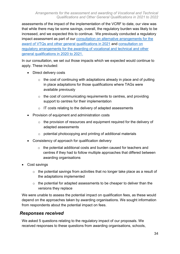assessments of the impact of the implementation of the VCRF to date, our view was that while there may be some savings, overall, the regulatory burden was likely to be increased, and we expected this to continue. We previously conducted a regulatory impact assessment as part of our [consultation on alternative arrangements for the](https://www.gov.uk/government/consultations/consultation-on-alternative-arrangements-for-the-award-of-vtqs-and-other-general-qualifications-in-2021)  [award of VTQs and other general qualifications in 2021](https://www.gov.uk/government/consultations/consultation-on-alternative-arrangements-for-the-award-of-vtqs-and-other-general-qualifications-in-2021) and [consultation on](https://www.gov.uk/government/consultations/regulatory-arrangements-for-the-awarding-of-vocational-and-technical-and-other-general-qualifications-in-2020-2021)  [regulatory arrangements for the awarding of vocational and technical and other](https://www.gov.uk/government/consultations/regulatory-arrangements-for-the-awarding-of-vocational-and-technical-and-other-general-qualifications-in-2020-2021)  [general qualifications in 2020 to 2021.](https://www.gov.uk/government/consultations/regulatory-arrangements-for-the-awarding-of-vocational-and-technical-and-other-general-qualifications-in-2020-2021)

In our consultation, we set out those impacts which we expected would continue to apply. These included:

- Direct delivery costs
	- $\circ$  the cost of continuing with adaptations already in place and of putting in place adaptations for those qualifications where TAGs were available previously
	- $\circ$  the cost of communicating requirements to centres, and providing support to centres for their implementation
	- o IT costs relating to the delivery of adapted assessments
- Provision of equipment and administration costs
	- $\circ$  the provision of resources and equipment required for the delivery of adapted assessments
	- o potential photocopying and printing of additional materials
- Consistency of approach for qualification delivery
	- o the potential additional costs and burden caused for teachers and centres if they had to follow multiple approaches that differed between awarding organisations
- Cost savings
	- o the potential savings from activities that no longer take place as a result of the adaptations implemented
	- o the potential for adapted assessments to be cheaper to deliver than the versions they replace

We were unable to assess the potential impact on qualification fees, as these would depend on the approaches taken by awarding organisations. We sought information from respondents about the potential impact on fees.

#### *Responses received*

We asked 5 questions relating to the regulatory impact of our proposals. We received responses to these questions from awarding organisations, schools,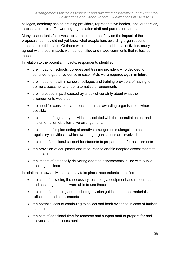colleges, academy chains, training providers, representative bodies, local authorities, teachers, centre staff, awarding organisation staff and parents or carers.

Many respondents felt it was too soon to comment fully on the impact of the proposals, as they did not yet know what adaptations awarding organisations intended to put in place. Of those who commented on additional activities, many agreed with those impacts we had identified and made comments that reiterated these.

In relation to the potential impacts, respondents identified:

- the impact on schools, colleges and training providers who decided to continue to gather evidence in case TAGs were required again in future
- the impact on staff in schools, colleges and training providers of having to deliver assessments under alternative arrangements
- the increased impact caused by a lack of certainty about what the arrangements would be
- the need for consistent approaches across awarding organisations where possible
- the impact of regulatory activities associated with the consultation on, and implementation of, alternative arrangements
- the impact of implementing alternative arrangements alongside other regulatory activities in which awarding organisations are involved
- the cost of additional support for students to prepare them for assessments
- the provision of equipment and resources to enable adapted assessments to take place
- the impact of potentially delivering adapted assessments in line with public health guidelines

In relation to new activities that may take place, respondents identified:

- the cost of providing the necessary technology, equipment and resources, and ensuring students were able to use these
- the cost of amending and producing revision guides and other materials to reflect adapted assessments
- the potential cost of continuing to collect and bank evidence in case of further disruption
- the cost of additional time for teachers and support staff to prepare for and deliver adapted assessments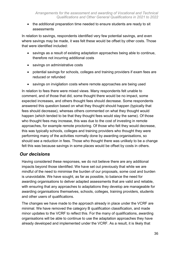• the additional preparation time needed to ensure students are ready to sit assessments

In relation to savings, respondents identified very few potential savings, and even where savings may be made, it was felt these would be offset by other costs. Those that were identified included:

- savings as a result of existing adaptation approaches being able to continue, therefore not incurring additional costs
- savings on administrative costs
- potential savings for schools, colleges and training providers if exam fees are reduced or refunded
- savings on invigilation costs where remote approaches are being used

In relation to fees there were mixed views. Many respondents felt unable to comment, and of those that did, some thought there would be no impact, some expected increases, and others thought fees should decrease. Some respondents answered this question based on what they thought should happen (typically that fees should decrease), whereas others commented on what they thought would happen (which tended to be that they thought fees would stay the same). Of those who thought fees may increase, this was due to the cost of investing in remote approaches, for example remote proctoring. Of those who felt they would decrease, this was typically schools, colleges and training providers who thought they were performing many of the activities normally done by awarding organisations, so should see a reduction in fees. Those who thought there was unlikely to be a change felt this was because savings in some places would be offset by costs in others.

#### *Our decisions*

Having considered these responses, we do not believe there are any additional impacts beyond those identified. We have set out previously that while we are mindful of the need to minimise the burden of our proposals, some cost and burden is unavoidable. We have sought, as far as possible, to balance the need for awarding organisations to deliver adapted assessments that are valid and reliable, with ensuring that any approaches to adaptations they develop are manageable for awarding organisations themselves, schools, colleges, training providers, students and other users of qualifications.

The changes we have made to the approach already in place under the VCRF are minimal. We have removed the category B qualification classification, and made minor updates to the VCRF to reflect this. For the many of qualifications, awarding organisations will be able to continue to use the adaptation approaches they have already developed and implemented under the VCRF. As a result, it is likely that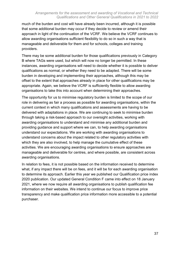#### *Arrangements for the assessment and awarding of Vocational and Technical Qualifications and Other General Qualifications in 2021 to 2022*

much of the burden and cost will have already been incurred, although it is possible that some additional burden may occur if they decide to review or amend their approach in light of the continuation of the VCRF. We believe the VCRF continues to allow awarding organisations sufficient flexibility to do so in such a way that is manageable and deliverable for them and for schools, colleges and training providers.

There may be some additional burden for those qualifications previously in Category B where TAGs were used, but which will now no longer be permitted. In these instances, awarding organisations will need to decide whether it is possible to deliver qualifications as normal, or whether they need to be adapted. There will be some burden in developing and implementing their approaches, although this may be offset to the extent that approaches already in place for other qualifications may be appropriate. Again, we believe the VCRF is sufficiently flexible to allow awarding organisations to take this into account when determining their approaches.

The opportunity for us to minimise regulatory burden is limited to the scope of our role in delivering as fair a process as possible for awarding organisations, within the current context in which many qualifications and assessments are having to be delivered with adaptations in place. We are continuing to seek to minimise burden through taking a risk-based approach to our oversight activities, working with awarding organisations to understand and minimise any additional burden and providing guidance and support where we can, to help awarding organisations understand our expectations. We are working with awarding organisations to understand concerns about the impact related to other regulatory activities with which they are also involved, to help manage the cumulative effect of these activities. We are encouraging awarding organisations to ensure approaches are manageable and deliverable for centres, and where possible, are consistent across awarding organisations.

In relation to fees, it is not possible based on the information received to determine what, if any impact there will be on fees, and it will be for each awarding organisation to determine its approach. Earlier this year we published our [Qualification price index](https://www.gov.uk/government/publications/qualifications-price-index-2020/qualification-price-index-supplementary-analysis-for-2020-extraordinary-regulatory-framework-context)  [2020](https://www.gov.uk/government/publications/qualifications-price-index-2020/qualification-price-index-supplementary-analysis-for-2020-extraordinary-regulatory-framework-context) publication. Our [updated General Condition F](https://www.gov.uk/guidance/ofqual-handbook/section-f-providing-qualifications-to-purchasers) came into effect on 18 January 2021, where we now require all awarding organisations to publish qualification fee information on their websites. We intend to continue our focus to improve price transparency and make qualification price information more accessible to a potential purchaser.